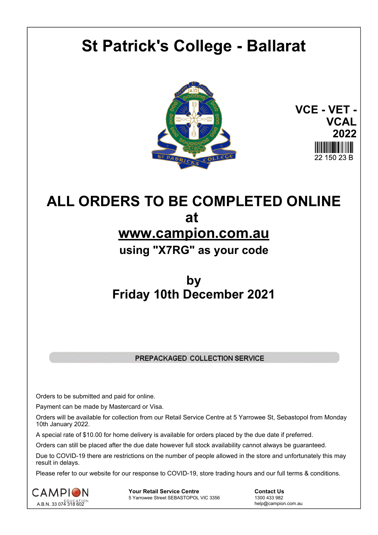# **St Patrick's College - Ballarat**



**VCE - VET - VCAL 2022** 22 150 23 B

# **ALL ORDERS TO BE COMPLETED ONLINE at www.campion.com.au using "X7RG" as your code**

## **by Friday 10th December 2021**

### PREPACKAGED COLLECTION SERVICE

Orders to be submitted and paid for online.

Payment can be made by Mastercard or Visa.

Orders will be available for collection from our Retail Service Centre at 5 Yarrowee St, Sebastopol from Monday 10th January 2022.

A special rate of \$10.00 for home delivery is available for orders placed by the due date if preferred.

Orders can still be placed after the due date however full stock availability cannot always be guaranteed.

Due to COVID-19 there are restrictions on the number of people allowed in the store and unfortunately this may result in delays.

Please refer to our website for our response to COVID-19, store trading hours and our full terms & conditions.



**Your Retail Service Centre**  Contact Us<br>
5 Yarrowee Street SEBASTOPOL VIC 3356 1300 433 982 5 Yarrowee Street SEBASTOPOL VIC 3356

help@campion.com.au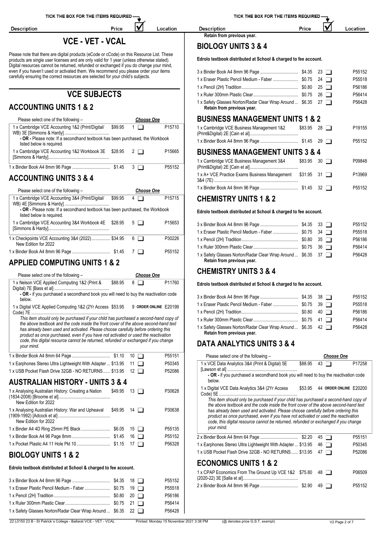**Description** 

### **VCE - VET - VCAL**

IV

Location

Price

Please note that there are digital products (eCode or cCode) on this Resource List. These products are single user licenses and are only valid for 1 year (unless otherwise stated).  $\blacksquare$ Digital resources cannot be returned, refunded or exchanged if you do change your mind, even if you haven't used or activated them. We recommend you please order your items carefully ensuring the correct resources are selected for your child's subjects.

### **VCE SUBJECTS**

### **ACCOUNTING UNITS 1 & 2**

| Please select one of the following -                                                                                                                                      | <b>Choose One</b> | <b>BUSINESS MANA</b>                                                                          |
|---------------------------------------------------------------------------------------------------------------------------------------------------------------------------|-------------------|-----------------------------------------------------------------------------------------------|
| 1 x Cambridge VCE Accounting 1&2 (Print/Digital/<br>\$99.95<br>- OR - Please note: If a secondhand textbook has been purchased, the Workbook<br>listed below is required. | P15710<br>$1\Box$ | 1 x Cambridge VCE Business<br>(Print&Digital) 2E [Cain et al]<br>1 x Binder Book A4 8mm 96 Pa |
| 1 x Cambridge VCE Accounting 1&2 Workbook 3E \$28.95 2                                                                                                                    | P15665            | <b>BUSINESS MANA</b><br>1 x Cambridge VCE Business                                            |
|                                                                                                                                                                           | P55152            | (Print&Digital) 2E [Cain et al]                                                               |

### **ACCOUNTING UNITS 3 & 4**

| Please select one of the following -                                                                       | Choose One |        | <b>PODICE</b>                                                                              |
|------------------------------------------------------------------------------------------------------------|------------|--------|--------------------------------------------------------------------------------------------|
| 1 x Cambridge VCE Accounting 3&4 (Print/Digital/<br>\$99.95                                                | $4\Box$    | P15715 | <b>CHEMISTRY UNITS 1 &amp; 2</b>                                                           |
| - OR - Please note: If a secondhand textbook has been purchased, the Workbook<br>listed below is required. |            |        | Edrolo textbook distributed at School & charged to fee account.                            |
| 1 x Cambridge VCE Accounting 3&4 Workbook 4E \$28.95 5                                                     |            | P15653 | P <sub>55152</sub><br>1 x Eraser Plastic Pencil Medium - Faber  \$0.75 34<br>P55518        |
| 1 x Checkpoints VCE Accounting 3&4 (2022)  \$34.95 6<br>New Edition for 2022                               |            | P30226 | P56186                                                                                     |
|                                                                                                            |            | P55152 | P56414<br>1 x Safoty Classes Norton/Padar Closs Wron Around<br><b>¢</b> 25, 27 □<br>DEGA29 |

### **APPLIED COMPUTING UNITS 1 & 2**

| Please select one of the following -                                                                                                                                         |         | <b>Choose One</b> |        | <b>UNEMIJINI UNIIJJQ4</b>                                                                                                                                                 |
|------------------------------------------------------------------------------------------------------------------------------------------------------------------------------|---------|-------------------|--------|---------------------------------------------------------------------------------------------------------------------------------------------------------------------------|
| 1 x Nelson VCE Applied Computing 1&2 (Print &                                                                                                                                | \$88.95 | $8\Box$           | P11760 | Edrolo textbook distributed at School & charged to fee account.                                                                                                           |
| - OR - if you purchased a secondhand book you will need to buy the reactivation code<br>below.                                                                               |         |                   |        | P55152                                                                                                                                                                    |
| 1 x Digital VCE Applied Computing 1&2 (2Yr Access \$53.95 9 ORDER ONLINE E20199                                                                                              |         |                   |        | $39$ $\Box$<br>P55518                                                                                                                                                     |
|                                                                                                                                                                              |         |                   |        | P56186                                                                                                                                                                    |
| This item should only be purchased if your child has purchased a second-hand copy of<br>the above textbook and the code inside the front cover of the above second-hand text |         |                   |        | P56414                                                                                                                                                                    |
| has already been used and activated. Please choose carefully before ordering this<br>product as once purchased, even if you have not activated or used the reactivation      |         |                   |        | 1 x Safety Glasses Norton/Radar Clear Wrap Around  \$6.35 42<br>P56428<br>Retain from previous year.                                                                      |
| code, this digital resource cannot be returned, refunded or exchanged if you change<br>your mind.                                                                            |         |                   |        | <b>DATA ANALYTICS UNITS 3 &amp; 4</b>                                                                                                                                     |
|                                                                                                                                                                              |         | $10$ $\Box$       | P55151 | Please select one of the following -<br><b>Choose One</b>                                                                                                                 |
| 1 x Earphones Stereo Ultra Lightweight With Adapter  \$13.95                                                                                                                 |         | $11 \Box$         | P50345 | $$88.95$ 43 $\Box$<br>P17258<br>1 x VCE Data Analytics 3&4 (Print & Digital) 5E                                                                                           |
| 1 x USB Pocket Flash Drive 32GB - NO RETURNS  \$13.95                                                                                                                        |         | $12 \Box$         | P52086 |                                                                                                                                                                           |
| <b>AUSTRALIAN HISTORY - UNITS 3 &amp; 4</b>                                                                                                                                  |         |                   |        | - OR - if you purchased a secondhand book you will need to buy the reactivation code<br>below.                                                                            |
| 1 x Analysing Australian History: Creating a Nation \$49.95 13                                                                                                               |         |                   | P30628 | 1 x Digital VCE Data Analytics 3&4 (2Yr Access<br>\$53.95<br>44 ORDER ONLINE E20200                                                                                       |
| New Edition for 2022                                                                                                                                                         |         |                   |        | This item should only be purchased if your child has purchased a second-hand copy of                                                                                      |
| 1 x Analysing Australian History: War and Upheaval \$49.95 14                                                                                                                |         |                   | P30638 | the above textbook and the code inside the front cover of the above second-hand text<br>has already been used and activated. Please choose carefully before ordering this |
| New Edition for 2022                                                                                                                                                         |         |                   |        | product as once purchased, even if you have not activated or used the reactivation<br>code, this digital resource cannot be returned, refunded or exchanged if you change |
|                                                                                                                                                                              |         |                   | P55135 | your mind.                                                                                                                                                                |
|                                                                                                                                                                              |         |                   | P55152 | P55151<br>$45$ $\Box$                                                                                                                                                     |
|                                                                                                                                                                              |         |                   | P56328 | 1 x Earphones Stereo Ultra Lightweight With Adapter  \$13.95<br>P50345<br>46 ∩                                                                                            |
| <b>BIOLOGY UNITS 1 &amp; 2</b>                                                                                                                                               |         |                   |        | 1 x USB Pocket Flash Drive 32GB - NO RETURNS \$13.95<br>P52086<br>$47\Box$                                                                                                |
| Edrolo textbook distributed at School & charged to fee account                                                                                                               |         |                   |        | <b>ECONOMICS UNITS 1 &amp; 2</b>                                                                                                                                          |

### **Edrolo textbook distributed at School & charged to fee account.**

| 1 x Eraser Plastic Pencil Medium - Faber  \$0.75 19          |  | P55152<br>P55518<br>P56186<br>P56414 | IA VIA LUURUURUUSI IVIII III<br>(2020-22) 3E [Salla et al]<br>2 x Binder Book A4 8mm 96 Pa |
|--------------------------------------------------------------|--|--------------------------------------|--------------------------------------------------------------------------------------------|
| 1 x Safety Glasses Norton/Radar Clear Wrap Around  \$6.35 22 |  | P56428                               |                                                                                            |
|                                                              |  |                                      |                                                                                            |

TICK THE BOX FOR THE ITEMS REQUIRED

IV

Price

Location

**Description Retain from previous year.**

### **BIOLOGY UNITS 3 & 4**

**Edrolo textbook distributed at School & charged to fee account.**

|                                                                                         |         |    | $23$ $\Box$    | P55152             |
|-----------------------------------------------------------------------------------------|---------|----|----------------|--------------------|
|                                                                                         |         |    | 24 $\Box$      | P55518             |
|                                                                                         |         | 25 | ı 1            | P56186             |
|                                                                                         |         | 26 | $\blacksquare$ | P56414             |
| 1 x Safety Glasses Norton/Radar Clear Wrap Around  \$6.35<br>Retain from previous year. |         |    | $27 \square$   | P56428             |
| <b>BUSINESS MANAGEMENT UNITS 1 &amp; 2</b>                                              |         |    |                |                    |
| 1 x Cambridge VCE Business Management 1&2                                               | \$83.95 |    | $28$ $\Box$    | P <sub>19155</sub> |
|                                                                                         |         |    | $29$ $\Box$    | P55152             |
| <b>BUSINESS MANAGEMENT UNITS 3 &amp; 4</b>                                              |         |    |                |                    |
| 1 x Cambridge VCE Business Management 3&4                                               | \$83.95 |    | $30\Box$       | P09848             |
| 1 x A+ VCE Practice Exams Business Management                                           | \$31.95 |    | $31$ $\Box$    | P13969             |
|                                                                                         |         | 32 |                | P55152             |
|                                                                                         |         |    |                |                    |

|                                                                                            |  | P <sub>55152</sub> |
|--------------------------------------------------------------------------------------------|--|--------------------|
| 1 x Eraser Plastic Pencil Medium - Faber  \$0.75 34                                        |  | P55518             |
|                                                                                            |  | P56186             |
|                                                                                            |  | P56414             |
| 1 x Safety Glasses Norton/Radar Clear Wrap Around  \$6.35 37<br>Retain from previous year. |  | P56428             |

### **CHEMISTRY UNITS 3 & 4**

|                                                                                           |  | P55152 |
|-------------------------------------------------------------------------------------------|--|--------|
| 1 x Eraser Plastic Pencil Medium - Faber  \$0.75 39 □                                     |  | P55518 |
|                                                                                           |  | P56186 |
|                                                                                           |  | P56414 |
| 1 x Safety Glasses Norton/Radar Clear Wrap Around  \$6.35 42<br>Dotain from provious voor |  | P56428 |

| Please select one of the following -                                                                                                                                                                                                                                                                                                                                                                                                                                                                           |         |      | <b>Choose One</b>      |                    |
|----------------------------------------------------------------------------------------------------------------------------------------------------------------------------------------------------------------------------------------------------------------------------------------------------------------------------------------------------------------------------------------------------------------------------------------------------------------------------------------------------------------|---------|------|------------------------|--------------------|
| 1 x VCE Data Analytics 3&4 (Print & Digital) 5E<br>- OR - if you purchased a secondhand book you will need to buy the reactivation code<br>below.                                                                                                                                                                                                                                                                                                                                                              | \$88.95 | 43   |                        | P <sub>17258</sub> |
| 1 x Digital VCE Data Analytics 3&4 (2Yr Access<br>This item should only be purchased if your child has purchased a second-hand copy of<br>the above textbook and the code inside the front cover of the above second-hand text<br>has already been used and activated. Please choose carefully before ordering this<br>product as once purchased, even if you have not activated or used the reactivation<br>code, this digital resource cannot be returned, refunded or exchanged if you change<br>your mind. | \$53.95 |      | 44 ORDER ONLINE E20200 |                    |
|                                                                                                                                                                                                                                                                                                                                                                                                                                                                                                                |         | 45 1 |                        | P55151             |
| 1 x Earphones Stereo Ultra Lightweight With Adapter  \$13.95                                                                                                                                                                                                                                                                                                                                                                                                                                                   |         | 46   | $\blacksquare$         | P50345             |
| 1 x USB Pocket Flash Drive 32GB - NO RETURNS \$13.95                                                                                                                                                                                                                                                                                                                                                                                                                                                           |         | 47   |                        | P52086             |
| <b>ECONOMICS UNITS 1 &amp; 2</b>                                                                                                                                                                                                                                                                                                                                                                                                                                                                               |         |      |                        |                    |
| 1 x CPAP Economics From The Ground Up VCE 1&2 \$75.80                                                                                                                                                                                                                                                                                                                                                                                                                                                          |         | 48 □ |                        | P06509             |
|                                                                                                                                                                                                                                                                                                                                                                                                                                                                                                                |         | 49   |                        | P55152             |
|                                                                                                                                                                                                                                                                                                                                                                                                                                                                                                                |         |      |                        |                    |

22 L0150 23 B - St Patrick´s College - Ballarat VCE - VET - VCAL Printed: Monday 15 November 2021 3:38 PM (@ denotes price G.S.T. exempt) V2 Page 2 of 7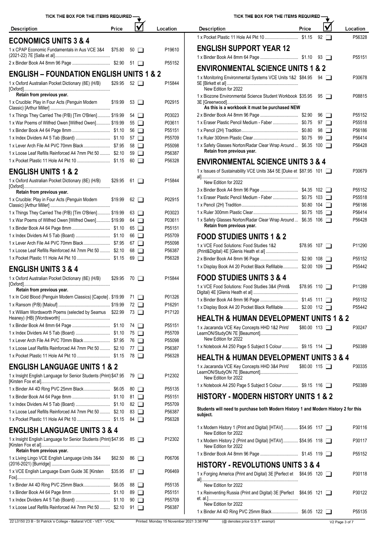| TICK THE BOX FOR THE ITEMS REQUIRED -                                                          |         |             |                                          | TICK THE BOX FOR THE ITEMS REQUIRED -                                                                              |       |                     |                  |
|------------------------------------------------------------------------------------------------|---------|-------------|------------------------------------------|--------------------------------------------------------------------------------------------------------------------|-------|---------------------|------------------|
| <b>Description</b>                                                                             | Price   |             | Location                                 | <b>Description</b>                                                                                                 | Price |                     | Location         |
| <b>ECONOMICS UNITS 3 &amp; 4</b>                                                               |         |             |                                          |                                                                                                                    |       | $92 \Box$           | P56328           |
| 1 x CPAP Economic Fundamentals in Aus VCE 3&4                                                  | \$75.80 | $50$ $\Box$ | P19610                                   | <b>ENGLISH SUPPORT YEAR 12</b>                                                                                     |       |                     |                  |
|                                                                                                |         |             | P55152                                   |                                                                                                                    |       |                     | P55151           |
| <b>ENGLISH - FOUNDATION ENGLISH UNITS 1 &amp; 2</b>                                            |         |             |                                          | <b>ENVIRONMENTAL SCIENCE UNITS 1 &amp; 2</b>                                                                       |       |                     |                  |
| 1 x Oxford Australian Pocket Dictionary (8E) (H/B)                                             | \$29.95 | $52$ $\Box$ | P15844                                   | 1 x Monitoring Environmental Systems VCE Units 1&2 \$84.95 94<br>New Edition for 2022                              |       |                     | P30678           |
| Retain from previous year.<br>1 x Crucible: Play in Four Acts (Penguin Modern                  | \$19.99 | $53$ $\Box$ | P02915                                   | 1 x Biozone Environmental Science Student Workbook \$35.95<br>As this is a workbook it must be purchased NEW       |       | $95\Box$            | P08815           |
| 1 x Things They Carried The (P/B) [Tim O'Brien] \$19.99                                        |         | 54 $\Box$   | P03023                                   |                                                                                                                    |       | $96$ $\Box$         | P55152           |
| 1 x War Poems of Wilfred Owen [Wilfred Owen] \$19.99                                           |         | $55\Box$    | P03611                                   | 1 x Eraser Plastic Pencil Medium - Faber  \$0.75                                                                   |       | $97$ $\Box$         | P55518           |
|                                                                                                |         | $56$ $\Box$ | P55151                                   |                                                                                                                    |       | $98$ $\Box$         | P56186           |
|                                                                                                |         | $57$ $\Box$ | P55709                                   |                                                                                                                    |       | $99$ $\Box$         | P56414           |
|                                                                                                |         | $58$ $\Box$ | P55098                                   | 1 x Safety Glasses Norton/Radar Clear Wrap Around  \$6.35 100                                                      |       |                     | P56428           |
| 1 x Loose Leaf Refills Reinforced A4 7mm Pkt 50  \$2.10                                        |         | $59$ $\Box$ | P56387                                   | Retain from previous year.                                                                                         |       |                     |                  |
|                                                                                                |         | 60 I I      | P56328                                   | <b>ENVIRONMENTAL SCIENCE UNITS 3 &amp; 4</b>                                                                       |       |                     |                  |
| <b>ENGLISH UNITS 1 &amp; 2</b>                                                                 |         |             |                                          | 1 x Issues of Sustainability VCE Units 3&4 5E [Duke et \$87.95 101                                                 |       |                     | P30679           |
| 1 x Oxford Australian Pocket Dictionary (8E) (H/B)                                             | \$29.95 | 61 1        | P15844                                   | New Edition for 2022                                                                                               |       |                     |                  |
| Retain from previous year.                                                                     |         |             |                                          |                                                                                                                    |       |                     | P55152           |
| 1 x Crucible: Play in Four Acts (Penguin Modern                                                | \$19.99 | $62$ $\Box$ | P02915                                   | 1 x Eraser Plastic Pencil Medium - Faber  \$0.75 103                                                               |       |                     | P55518           |
|                                                                                                |         |             |                                          |                                                                                                                    |       |                     | P56186           |
| 1 x Things They Carried The (P/B) [Tim O'Brien] \$19.99                                        |         | $63$ $\Box$ | P03023                                   |                                                                                                                    |       |                     | P56414           |
| 1 x War Poems of Wilfred Owen [Wilfred Owen] \$19.99                                           |         | 64 O        | P03611                                   | 1 x Safety Glasses Norton/Radar Clear Wrap Around  \$6.35 106                                                      |       |                     | P56428           |
|                                                                                                |         | $65$ $\Box$ | P55151                                   | Retain from previous year.                                                                                         |       |                     |                  |
|                                                                                                |         | $66$ $\Box$ | P55709                                   | <b>FOOD STUDIES UNITS 1 &amp; 2</b>                                                                                |       |                     |                  |
|                                                                                                |         | 67 $\Box$   | P55098                                   | 1 x VCE Food Solutions: Food Studies 1&2                                                                           |       | $$78.95$ 107 $\Box$ | P11290           |
| 1 x Loose Leaf Refills Reinforced A4 7mm Pkt 50  \$2.10                                        |         | 68 □        | P56387                                   |                                                                                                                    |       |                     |                  |
|                                                                                                |         | $69$ $\Box$ | P56328                                   |                                                                                                                    |       |                     | P55152           |
| <b>ENGLISH UNITS 3 &amp; 4</b>                                                                 |         |             |                                          | 1 x Display Book A4 20 Pocket Black Refillable \$2.00 109                                                          |       |                     | P55442           |
| 1 x Oxford Australian Pocket Dictionary (8E) (H/B)                                             | \$29.95 | 70 □        | P15844                                   | <b>FOOD STUDIES UNITS 3 &amp; 4</b>                                                                                |       |                     |                  |
| Retain from previous year.                                                                     |         |             |                                          | 1 x VCE Food Solutions: Food Studies 3&4 (Print&                                                                   |       | $$78.95$ 110 $\Box$ | P11289           |
| 1 x In Cold Blood (Penguin Modern Classics) [Capote]. \$19.99                                  |         | $71$ $\Box$ | P01326                                   |                                                                                                                    |       |                     |                  |
|                                                                                                |         | 72 ∏        | P16291                                   | 1 x Display Book A4 20 Pocket Black Refillable \$2.00 112                                                          |       |                     | P55152<br>P55442 |
| 1 x William Wordsworth Poems (selected by Seamus \$22.99 73                                    |         |             | P17120                                   | <b>HEALTH &amp; HUMAN DEVELOPMENT UNITS 1 &amp; 2</b>                                                              |       |                     |                  |
|                                                                                                |         | 74 □        | P55151                                   |                                                                                                                    |       |                     |                  |
|                                                                                                |         | 75 □        | P55709                                   | 1 x Jacaranda VCE Key Concepts HHD 1&2 Print/                                                                      |       | \$80.00 113         | P30247           |
|                                                                                                |         | 76 □        | P55098                                   | New Edition for 2022                                                                                               |       |                     |                  |
| 1 x Loose Leaf Refills Reinforced A4 7mm Pkt 50  \$2.10                                        |         | 77 $\Box$   | P56387                                   | 1 x Notebook A4 250 Page 5 Subject 5 Colour \$9.15 114                                                             |       |                     | P50389           |
|                                                                                                |         |             | P56328                                   | <b>HEALTH &amp; HUMAN DEVELOPMENT UNITS 3 &amp; 4</b>                                                              |       |                     |                  |
| <b>ENGLISH LANGUAGE UNITS 1 &amp; 2</b>                                                        |         |             |                                          | 1 x Jacaranda VCE Key Concepts HHD 3&4 Print/                                                                      |       | $$80.00$ 115 $\Box$ | P30335           |
| 1 x Insight English Language for Senior Students (Print) \$47.95                               |         | $79$ $\Box$ | P12302                                   | New Edition for 2022                                                                                               |       |                     |                  |
|                                                                                                |         | 80 $\Box$   | P55135                                   | 1 x Notebook A4 250 Page 5 Subject 5 Colour \$9.15 116                                                             |       |                     | P50389           |
|                                                                                                |         | 81 $\Box$   | P55151                                   | <b>HISTORY - MODERN HISTORY UNITS 1 &amp; 2</b>                                                                    |       |                     |                  |
|                                                                                                |         | 82 $\Box$   | P55709                                   |                                                                                                                    |       |                     |                  |
| 1 x Loose Leaf Refills Reinforced A4 7mm Pkt 50  \$2.10                                        |         | $83$ $\Box$ | P56387                                   | Students will need to purchase both Modern History 1 and Modern History 2 for this<br>subject.                     |       |                     |                  |
|                                                                                                |         |             | P56328                                   |                                                                                                                    |       |                     |                  |
| <b>ENGLISH LANGUAGE UNITS 3 &amp; 4</b>                                                        |         |             |                                          | 1 x Modern History 1 (Print and Digital) [HTAV] \$54.95 117<br>New Edition for 2022                                |       |                     | P30116           |
| 1 x Insight English Language for Senior Students (Print) \$47.95<br>Retain from previous year. |         | $85$ $\Box$ | P12302                                   | 1 x Modern History 2 (Print and Digital) [HTAV] \$54.95 118<br>New Edition for 2022                                |       |                     | P30117           |
| 1 x Living Lingo VCE English Language Units 3&4                                                | \$62.50 | $86$ $\Box$ | P06706                                   |                                                                                                                    |       |                     | P55152           |
| 1 x VCE English Language Exam Guide 3E [Kirsten                                                | \$35.95 | 87 □        | P06469                                   | <b>HISTORY - REVOLUTIONS UNITS 3 &amp; 4</b><br>1 x Forging America (Print and Digital) 3E [Perfect et \$64.95 120 |       |                     | P30118           |
|                                                                                                |         |             |                                          |                                                                                                                    |       |                     |                  |
| 1 x Binder A4 4D Ring PVC 25mm Black \$6.05                                                    |         | 88 □        | P55135                                   | New Edition for 2022                                                                                               |       |                     |                  |
|                                                                                                |         | $89$ $\Box$ | P55151                                   | 1 x Reinventing Russia (Print and Digital) 3E [Perfect \$64.95 121                                                 |       |                     | P30122           |
|                                                                                                |         | $90$ $\Box$ | P55709                                   | New Edition for 2022                                                                                               |       |                     |                  |
| 1 x Loose Leaf Refills Reinforced A4 7mm Pkt 50  \$2.10                                        |         | $91$ $\Box$ | P56387                                   |                                                                                                                    |       |                     | P55135           |
| 22 L0150 23 B - St Patrick's College - Ballarat VCE - VET - VCAL                               |         |             | Printed: Monday 15 November 2021 3:38 PM | (@ denotes price G.S.T. exempt)                                                                                    |       |                     | V2 Page 3 of 7   |
|                                                                                                |         |             |                                          |                                                                                                                    |       |                     |                  |

| TICK THE BOX FOR THE ITEMS REQUIRED -                                                                  |                     |             |             |                    |
|--------------------------------------------------------------------------------------------------------|---------------------|-------------|-------------|--------------------|
| <b>Description</b>                                                                                     | Price               |             |             | Location           |
|                                                                                                        |                     |             | $92$ $\Box$ | P56328             |
| <b>ENGLISH SUPPORT YEAR 12</b>                                                                         |                     |             |             |                    |
|                                                                                                        |                     |             |             | P <sub>55151</sub> |
| <b>ENVIRONMENTAL SCIENCE UNITS 1 &amp; 2</b>                                                           |                     |             |             |                    |
| 1 x Monitoring Environmental Systems VCE Units 1&2 \$84.95<br>New Edition for 2022                     |                     | $94$ $\Box$ |             | P30678             |
| 1 x Biozone Environmental Science Student Workbook \$35.95                                             |                     |             | $95$ $\Box$ | P08815             |
| As this is a workbook it must be purchased NEW                                                         |                     |             | $96$ $\Box$ | P55152             |
|                                                                                                        |                     |             | $97$ $\Box$ | P55518             |
|                                                                                                        |                     |             | 98 I        | P56186             |
|                                                                                                        |                     |             | $99$ $\Box$ | P56414             |
| 1 x Safety Glasses Norton/Radar Clear Wrap Around  \$6.35 100<br>Retain from previous year.            |                     |             |             | P56428             |
| <b>ENVIRONMENTAL SCIENCE UNITS 3 &amp; 4</b>                                                           |                     |             |             |                    |
| 1 x Issues of Sustainability VCE Units 3&4 5E [Duke et \$87.95 101<br>New Edition for 2022             |                     |             |             | P30679             |
|                                                                                                        |                     |             |             | P55152             |
| 1 x Eraser Plastic Pencil Medium - Faber  \$0.75 103                                                   |                     |             |             | P55518             |
|                                                                                                        |                     |             |             | P56186             |
|                                                                                                        |                     |             |             | P56414             |
| 1 x Safety Glasses Norton/Radar Clear Wrap Around  \$6.35 106<br>Retain from previous year.            |                     |             |             | P56428             |
| <b>FOOD STUDIES UNITS 1 &amp; 2</b>                                                                    |                     |             |             |                    |
| 1 x VCE Food Solutions: Food Studies 1&2                                                               | $$78.95$ 107 $\Box$ |             |             | P11290             |
|                                                                                                        |                     |             |             | P55152             |
| 1 x Display Book A4 20 Pocket Black Refillable \$2.00 109                                              |                     |             |             | P55442             |
| <b>FOOD STUDIES UNITS 3 &amp; 4</b><br>1 x VCE Food Solutions: Food Studies 3&4 (Print&                |                     |             |             | P <sub>11289</sub> |
|                                                                                                        | \$78.95 110 ∩       |             |             | P55152             |
| 1 x Display Book A4 20 Pocket Black Refillable \$2.00 112                                              |                     |             |             | P55442             |
| <b>HEALTH &amp; HUMAN DEVELOPMENT UNITS 1 &amp; 2</b>                                                  |                     |             |             |                    |
| 1 x Jacaranda VCE Key Concepts HHD 1&2 Print/<br>LearnON/StudyON 7E [Beaumont]                         | $$80.00$ 113 $\Box$ |             |             | P30247             |
| New Edition for 2022<br>1 x Notebook A4 250 Page 5 Subject 5 Colour \$9.15 114                         |                     |             |             | P50389             |
| <b>HEALTH &amp; HUMAN DEVELOPMENT UNITS 3 &amp; 4</b>                                                  |                     |             |             |                    |
| 1 x Jacaranda VCE Key Concepts HHD 3&4 Print/<br>LearnON/StudyON 7E [Beaumont]<br>New Edition for 2022 | $$80.00$ 115 $\Box$ |             |             | P30335             |
| 1 x Notebook A4 250 Page 5 Subject 5 Colour \$9.15 116                                                 |                     |             |             | P50389             |
| <b>HISTORY - MODERN HISTORY UNITS 1 &amp; 2</b>                                                        |                     |             |             |                    |
| Students will need to purchase both Modern History 1 and Modern History 2 for this<br>subject.         |                     |             |             |                    |
| 1 x Modern History 1 (Print and Digital) [HTAV] \$54.95 117<br>New Edition for 2022                    |                     |             |             | P30116             |
| 1 x Modern History 2 (Print and Digital) [HTAV] \$54.95 118<br>New Edition for 2022                    |                     |             |             | P30117             |
|                                                                                                        |                     |             |             | P55152             |
| <b>HISTORY - REVOLUTIONS UNITS 3 &amp; 4</b>                                                           |                     |             |             |                    |
| 1 x Forging America (Print and Digital) 3E [Perfect et \$64.95 120<br>New Edition for 2022             |                     |             |             | P30118             |
| 1 x Reinventing Russia (Print and Digital) 3E [Perfect \$64.95 121                                     |                     |             |             | P30122             |
| New Edition for 2022                                                                                   |                     |             |             |                    |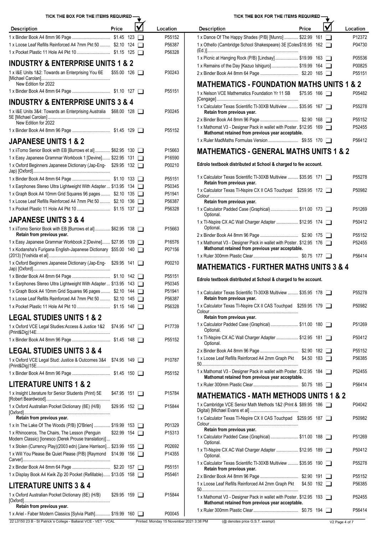| TICK THE BOX FOR THE ITEMS REQUIRED -                                                                                   |                     |                  | TICK THE BOX FOR THE ITEMS REQUIRED -                                                                                  |          |
|-------------------------------------------------------------------------------------------------------------------------|---------------------|------------------|------------------------------------------------------------------------------------------------------------------------|----------|
| <b>Description</b>                                                                                                      | Price               | Location         | ✔<br>Price<br><b>Description</b>                                                                                       | Location |
|                                                                                                                         |                     | P55152           | 1 x Dance Of The Happy Shades (P/B) [Munro]  \$22.99 161                                                               | P12372   |
| 1 x Loose Leaf Refills Reinforced A4 7mm Pkt 50  \$2.10 124                                                             |                     | P56387           | 1 x Othello (Cambridge School Shakespeare) 3E [Coles \$18.95 162                                                       | P04730   |
|                                                                                                                         |                     | P56328           |                                                                                                                        | P05536   |
| <b>INDUSTRY &amp; ENTERPRISE UNITS 1 &amp; 2</b>                                                                        |                     |                  | 1 x Picnic at Hanging Rock (P/B) [Lindsay] \$19.99 163<br>1 x Remains of the Day [Kazuo Ishiguro]  \$19.99 164         | P00825   |
| 1 x I&E Units 1&2: Towards an Enterprising You 6E \$55.00 126                                                           |                     | P30243           |                                                                                                                        | P55151   |
| New Edition for 2022                                                                                                    |                     |                  | <b>MATHEMATICS - FOUNDATION MATHS UNITS 1 &amp; 2</b>                                                                  |          |
|                                                                                                                         |                     | P55151           | 1 x Nelson VCE Mathematics Foundation Yr 11 SB \$75.95 166                                                             | P05482   |
| <b>INDUSTRY &amp; ENTERPRISE UNITS 3 &amp; 4</b>                                                                        |                     |                  |                                                                                                                        |          |
| 1 x I&E Units 3&4: Towards an Enterprising Australia \$68.00 128                                                        |                     | P30245           | 1 x Calculator Texas Scientific TI-30XB Multiview  \$35.95 167<br>Retain from previous year.                           | P55278   |
|                                                                                                                         |                     |                  |                                                                                                                        | P55152   |
| New Edition for 2022                                                                                                    |                     | P55152           | 1 x Mathomat V3 - Designer Pack in wallet with Poster. \$12.95 169                                                     | P52455   |
|                                                                                                                         |                     |                  | Mathomat retained from previous year acceptable.                                                                       |          |
| <b>JAPANESE UNITS 1 &amp; 2</b>                                                                                         |                     |                  |                                                                                                                        | P56412   |
| 1 x iiTomo Senior Book with EB [Burrows et al]  \$62.95 130                                                             |                     | P15663           | <b>MATHEMATICS - GENERAL MATHS UNITS 1 &amp; 2</b>                                                                     |          |
| 1 x Easy Japanese Grammar Workbook 1 [Devine] \$22.95 131                                                               |                     | P16590           | Edrolo textbook distributed at School & charged to fee account.                                                        |          |
| 1 x Oxford Beginners Japanese Dictionary (Jap-Eng- \$29.95 132                                                          |                     | P00210           |                                                                                                                        |          |
|                                                                                                                         |                     | P55151           | 1 x Calculator Texas Scientific TI-30XB Multiview  \$35.95 171<br>Retain from previous year.                           | P55278   |
| 1 x Earphones Stereo Ultra Lightweight With Adapter  \$13.95 134                                                        |                     | P50345           | 1 x Calculator Texas TI-Nspire CX II CAS Touchpad \$259.95 172                                                         | P50982   |
| 1 x Graph Book A4 10mm Grid Squares 96 pages  \$2.10 135                                                                |                     | P51941           |                                                                                                                        |          |
| 1 x Loose Leaf Refills Reinforced A4 7mm Pkt 50  \$2.10 136                                                             |                     | P56387<br>P56328 | Retain from previous year.<br>1 x Calculator Padded Case (Graphical) \$11.00 173                                       | P51269   |
| <b>JAPANESE UNITS 3 &amp; 4</b>                                                                                         |                     |                  | Optional.                                                                                                              |          |
|                                                                                                                         |                     |                  | 1 x TI-Nspire CX AC Wall Charger Adapter  \$12.95 174<br>Optional.                                                     | P50412   |
| 1 x iiTomo Senior Book with EB [Burrows et al]  \$62.95 138<br>Retain from previous year.                               |                     | P15663           |                                                                                                                        | P55152   |
| 1 x Easy Japanese Grammar Workbook 2 [Devine] \$27.95 139                                                               |                     | P16576           | 1 x Mathomat V3 - Designer Pack in wallet with Poster. \$12.95 176                                                     | P52455   |
| 1 x Kodansha's Furigana English-Japanese Dictionary \$55.00 140                                                         |                     | P07156           | Mathomat retained from previous year acceptable.                                                                       |          |
| 1 x Oxford Beginners Japanese Dictionary (Jap-Eng- \$29.95 141                                                          |                     | P00210           |                                                                                                                        | P56414   |
|                                                                                                                         |                     |                  | <b>MATHEMATICS - FURTHER MATHS UNITS 3 &amp; 4</b>                                                                     |          |
|                                                                                                                         |                     | P55151           | Edrolo textbook distributed at School & charged to fee account.                                                        |          |
| 1 x Earphones Stereo Ultra Lightweight With Adapter  \$13.95 143                                                        |                     | P50345           |                                                                                                                        |          |
| 1 x Graph Book A4 10mm Grid Squares 96 pages  \$2.10 144<br>1 x Loose Leaf Refills Reinforced A4 7mm Pkt 50  \$2.10 145 |                     | P51941<br>P56387 | 1 x Calculator Texas Scientific TI-30XB Multiview  \$35.95 178<br>Retain from previous year.                           | P55278   |
|                                                                                                                         |                     | P56328           | 1 x Calculator Texas TI-Nspire CX II CAS Touchpad \$259.95 179                                                         | P50982   |
|                                                                                                                         |                     |                  | Retain from previous year.                                                                                             |          |
| <b>LEGAL STUDIES UNITS 1 &amp; 2</b>                                                                                    |                     |                  | 1 x Calculator Padded Case (Graphical) \$11.00 180                                                                     | P51269   |
| 1 x Oxford VCE Legal Studies: Access & Justice 1&2 \$74.95 147                                                          |                     | P17739           | Optional.                                                                                                              |          |
|                                                                                                                         |                     | P55152           | 1 x TI-Nspire CX AC Wall Charger Adapter  \$12.95 181<br>Optional.                                                     | P50412   |
| <b>LEGAL STUDIES UNITS 3 &amp; 4</b>                                                                                    |                     |                  |                                                                                                                        | P55152   |
| 1 x Oxford VCE Legal Stud: Justice & Outcomes 3&4 \$74.95 149                                                           |                     | P10787           | 1 x Loose Leaf Refills Reinforced A4 2mm Graph Pkt \$4.50 183                                                          | P56385   |
|                                                                                                                         |                     | P55152           | 1 x Mathomat V3 - Designer Pack in wallet with Poster. \$12.95 184<br>Mathomat retained from previous year acceptable. | P52455   |
| <b>LITERATURE UNITS 1 &amp; 2</b>                                                                                       |                     |                  |                                                                                                                        | P56414   |
| 1 x Insight Literature for Senior Students (Print) 5E                                                                   | $$47.95$ 151 $\Box$ | P15784           | <b>MATHEMATICS - MATH METHODS UNITS 1 &amp; 2</b>                                                                      |          |
|                                                                                                                         |                     |                  | 1 x Cambridge VCE Senior Math Methods 1&2 (Print & \$89.95 186                                                         | P04042   |
| 1 x Oxford Australian Pocket Dictionary (8E) (H/B)                                                                      | $$29.95$ 152 $\Box$ | P15844           |                                                                                                                        |          |
| Retain from previous year.                                                                                              |                     |                  | 1 x Calculator Texas TI-Nspire CX II CAS Touchpad \$259.95 187                                                         | P50982   |
| 1 x In The Lake Of The Woods (P/B) [O'Brien]  \$19.99 153                                                               |                     | P01329           | Retain from previous year.                                                                                             |          |
| 1 x Rhinoceros, The Chairs, The Lesson (Penguin)<br>Modern Classic) [lonesco (Derek Prouse translation)]                | \$22.99 154         | P15313           | 1 x Calculator Padded Case (Graphical) \$11.00 188<br>Optional.                                                        | P51269   |
| 1 x Stolen (Currency Play)(2003 edn) [Jane Harrison] \$23.99 155                                                        |                     | P02692           | 1 x TI-Nspire CX AC Wall Charger Adapter  \$12.95 189                                                                  | P50412   |
| 1 x Will You Please Be Quiet Please (P/B) [Raymond \$14.99 156                                                          |                     | P14355           | Optional.                                                                                                              |          |
|                                                                                                                         |                     | P55151           | 1 x Calculator Texas Scientific TI-30XB Multiview  \$35.95 190<br>Retain from previous year.                           | P55278   |
| 1 x Display Book A4 Kwik Zip 20 Pocket (Refillable) \$13.05 158                                                         |                     | P55461           |                                                                                                                        | P55152   |
| <b>LITERATURE UNITS 3 &amp; 4</b>                                                                                       |                     |                  | 1 x Loose Leaf Refills Reinforced A4 2mm Graph Pkt \$4.50 192                                                          | P56385   |
| 1 x Oxford Australian Pocket Dictionary (8E) (H/B)                                                                      | $$29.95$ 159 $\Box$ | P15844           | 1 x Mathomat V3 - Designer Pack in wallet with Poster. \$12.95 193                                                     | P52455   |
| Retain from previous year.                                                                                              |                     |                  | Mathomat retained from previous year acceptable.                                                                       |          |
| 1 x Ariel - Faber Modern Classics [Sylvia Plath] \$19.99 160                                                            |                     | P00045           |                                                                                                                        | P56414   |

## TICK THE BOX FOR THE ITEMS REQUIRED  $\begin{array}{cc} \begin{array}{cc} \bullet \end{array} \end{array}$

| <b>Description</b>                                                                                                     | Price               |  | Location           |
|------------------------------------------------------------------------------------------------------------------------|---------------------|--|--------------------|
| 1 x Dance Of The Happy Shades (P/B) [Munro]  \$22.99 161                                                               |                     |  | P12372             |
| 1 x Othello (Cambridge School Shakespeare) 3E [Coles \$18.95 162                                                       |                     |  | P04730             |
| 1 x Picnic at Hanging Rock (P/B) [Lindsay] \$19.99 163                                                                 |                     |  | P05536             |
| 1 x Remains of the Day [Kazuo Ishiguro]  \$19.99 164                                                                   |                     |  | P00825             |
|                                                                                                                        |                     |  | P <sub>55151</sub> |
| <b>MATHEMATICS - FOUNDATION MATHS UNITS 1 &amp; 2</b>                                                                  |                     |  |                    |
| 1 x Nelson VCE Mathematics Foundation Yr 11 SB                                                                         | $$75.95$ 166 $\Box$ |  | P05482             |
| 1 x Calculator Texas Scientific TI-30XB Multiview  \$35.95 167<br>Retain from previous year.                           |                     |  | P55278             |
|                                                                                                                        |                     |  | P <sub>55152</sub> |
| 1 x Mathomat V3 - Designer Pack in wallet with Poster. \$12.95 169<br>Mathomat retained from previous year acceptable. |                     |  | P52455             |
|                                                                                                                        |                     |  | P56412             |
| AFUERAL MATUR UNUTRA                                                                                                   |                     |  |                    |

| 1 x Calculator Texas Scientific TI-30XB Multiview  \$35.95 171<br>Retain from previous year.                           | P55278             |
|------------------------------------------------------------------------------------------------------------------------|--------------------|
| 1 x Calculator Texas TI-Nspire CX II CAS Touchpad \$259.95 172<br>Colour.<br>Retain from previous year.                | P50982             |
|                                                                                                                        |                    |
| 1 x Calculator Padded Case (Graphical) \$11.00 173<br>Optional.                                                        | P51269             |
| 1 x TI-Nspire CX AC Wall Charger Adapter  \$12.95 174<br>Optional.                                                     | P50412             |
|                                                                                                                        | P <sub>55152</sub> |
|                                                                                                                        |                    |
| 1 x Mathomat V3 - Designer Pack in wallet with Poster. \$12.95 176<br>Mathomat retained from previous year acceptable. | P52455             |
|                                                                                                                        | P56414             |

| 1 x Calculator Texas Scientific TI-30XB Multiview  \$35.95 178<br>Retain from previous year.                           |                    |  | P55278 |
|------------------------------------------------------------------------------------------------------------------------|--------------------|--|--------|
| 1 x Calculator Texas TI-Nspire CX II CAS Touchpad \$259.95 179                                                         |                    |  | P50982 |
| Retain from previous year.                                                                                             |                    |  |        |
| 1 x Calculator Padded Case (Graphical) \$11.00 180<br>Optional.                                                        |                    |  | P51269 |
| 1 x TI-Nspire CX AC Wall Charger Adapter  \$12.95 181<br>Optional.                                                     |                    |  | P50412 |
|                                                                                                                        |                    |  | P55152 |
| 1 x Loose Leaf Refills Reinforced A4 2mm Graph Pkt                                                                     | $$4.50$ 183 $\Box$ |  | P56385 |
| 1 x Mathomat V3 - Designer Pack in wallet with Poster. \$12.95 184<br>Mathomat retained from previous year acceptable. |                    |  | P52455 |
|                                                                                                                        |                    |  | P56414 |
| <b>MATHEMATICS - MATH METHODS UNITS 1 &amp; 2</b>                                                                      |                    |  |        |
| 1 x Cambridge VCE Senior Math Methods 1&2 (Print & \$89.95 186                                                         |                    |  | P04042 |
| 1 x Calculator Texas TI-Nspire CX II CAS Touchpad \$259.95 187                                                         |                    |  | P50982 |
| Retain from previous year.                                                                                             |                    |  |        |
| 1 x Calculator Padded Case (Graphical) \$11.00 188<br>Optional.                                                        |                    |  | P51269 |
| 1 x TI-Nspire CX AC Wall Charger Adapter  \$12.95 189<br>Optional.                                                     |                    |  | P50412 |
| 1 x Calculator Texas Scientific TI-30XB Multiview  \$35.95 190<br>Retain from previous year.                           |                    |  | P55278 |
|                                                                                                                        |                    |  | P55152 |
| 1 x Loose Leaf Refills Reinforced A4 2mm Graph Pkt \$4.50 192                                                          |                    |  | P56385 |
| 1 x Mathomat V3 - Designer Pack in wallet with Poster. \$12.95 193<br>Mathomat retained from previous year acceptable. |                    |  | P52455 |
|                                                                                                                        |                    |  | P56414 |
|                                                                                                                        |                    |  |        |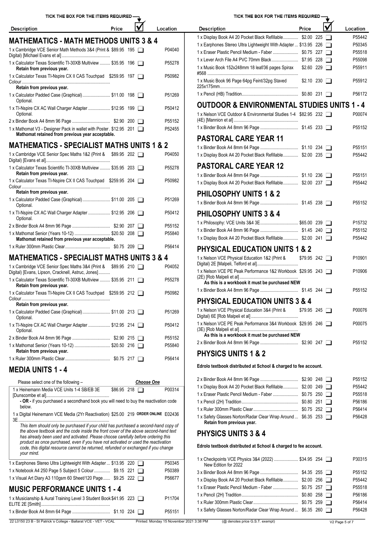| <b>Description</b>                                                                                                                                                                                                                                                | Price               |                   | Location         | <b>Description</b>                                                                          | Price               |  | Location         |
|-------------------------------------------------------------------------------------------------------------------------------------------------------------------------------------------------------------------------------------------------------------------|---------------------|-------------------|------------------|---------------------------------------------------------------------------------------------|---------------------|--|------------------|
|                                                                                                                                                                                                                                                                   |                     |                   |                  | 1 x Display Book A4 20 Pocket Black Refillable \$2.00 225                                   |                     |  | P55442           |
| <b>MATHEMATICS - MATH METHODS UNITS 3 &amp; 4</b>                                                                                                                                                                                                                 |                     |                   |                  | 1 x Earphones Stereo Ultra Lightweight With Adapter  \$13.95 226                            |                     |  | P50345           |
| 1 x Cambridge VCE Senior Math Methods 3&4 (Print & \$89.95 195                                                                                                                                                                                                    |                     |                   | P04040           | 1 x Eraser Plastic Pencil Medium - Faber  \$0.75 227                                        |                     |  | P55518           |
| 1 x Calculator Texas Scientific TI-30XB Multiview  \$35.95 196                                                                                                                                                                                                    |                     |                   | P55278           |                                                                                             |                     |  | P55098           |
| Retain from previous year.<br>1 x Calculator Texas TI-Nspire CX II CAS Touchpad \$259.95 197                                                                                                                                                                      |                     |                   | P50982           | 1 x Music Book 152x248mm 18 leaf/36 pages Spirax                                            | $$2.60$ 229 $\Box$  |  | P55911           |
| Retain from previous year.                                                                                                                                                                                                                                        |                     |                   |                  | 1 x Music Book 96 Page 64pg Feint/32pg Staved                                               | $$2.10$ 230 $\Box$  |  | P55912           |
| 1 x Calculator Padded Case (Graphical)  \$11.00 198<br>Optional.                                                                                                                                                                                                  |                     |                   | P51269           |                                                                                             |                     |  | P56172           |
| 1 x TI-Nspire CX AC Wall Charger Adapter  \$12.95 199                                                                                                                                                                                                             |                     |                   | P50412           | <b>OUTDOOR &amp; ENVIRONMENTAL STUDIES UNITS 1 - 4</b>                                      |                     |  |                  |
| Optional.                                                                                                                                                                                                                                                         |                     |                   | P55152           | 1 x Nelson VCE Outdoor & Environmental Studies 1-4 \$82.95 232                              |                     |  | P00074           |
| 1 x Mathomat V3 - Designer Pack in wallet with Poster. \$12.95 201<br>Mathomat retained from previous year acceptable.                                                                                                                                            |                     |                   | P52455           |                                                                                             |                     |  | P55152           |
| <b>MATHEMATICS - SPECIALIST MATHS UNITS 1 &amp; 2</b>                                                                                                                                                                                                             |                     |                   |                  | <b>PASTORAL CARE YEAR 11</b>                                                                |                     |  |                  |
|                                                                                                                                                                                                                                                                   |                     |                   |                  |                                                                                             |                     |  | P55151           |
| 1 x Cambridge VCE Senior Spec Maths 1&2 (Print & \$89.95 202                                                                                                                                                                                                      |                     |                   | P04050           | 1 x Display Book A4 20 Pocket Black Refillable \$2.00 235                                   |                     |  | P55442           |
| 1 x Calculator Texas Scientific TI-30XB Multiview  \$35.95 203<br>Retain from previous year.                                                                                                                                                                      |                     |                   | P55278           | <b>PASTORAL CARE YEAR 12</b>                                                                |                     |  | P55151           |
| 1 x Calculator Texas TI-Nspire CX II CAS Touchpad \$259.95 204                                                                                                                                                                                                    |                     |                   | P50982           | 1 x Display Book A4 20 Pocket Black Refillable \$2.00 237                                   |                     |  | P55442           |
| Retain from previous year.                                                                                                                                                                                                                                        |                     |                   |                  | <b>PHILOSOPHY UNITS 1 &amp; 2</b>                                                           |                     |  |                  |
| 1 x Calculator Padded Case (Graphical) \$11.00 205<br>Optional.                                                                                                                                                                                                   |                     |                   | P51269           |                                                                                             |                     |  | P55152           |
| 1 x TI-Nspire CX AC Wall Charger Adapter  \$12.95 206                                                                                                                                                                                                             |                     |                   | P50412           | <b>PHILOSOPHY UNITS 3 &amp; 4</b>                                                           |                     |  |                  |
| Optional.                                                                                                                                                                                                                                                         |                     |                   |                  | 1 x Philosophy: VCE Units 3&4 3E \$65.00 239                                                |                     |  | P15732           |
| 1 x Mathomat Senior (Years 10-12)  \$20.50 208                                                                                                                                                                                                                    |                     |                   | P55152<br>P55840 |                                                                                             |                     |  | P55152           |
| Mathomat retained from previous year acceptable.                                                                                                                                                                                                                  |                     |                   |                  | 1 x Display Book A4 20 Pocket Black Refillable \$2.00 241                                   |                     |  | P55442           |
|                                                                                                                                                                                                                                                                   |                     |                   | P56414           | <b>PHYSICAL EDUCATION UNITS 1 &amp; 2</b>                                                   |                     |  |                  |
| <b>MATHEMATICS - SPECIALIST MATHS UNITS 3 &amp; 4</b>                                                                                                                                                                                                             |                     |                   |                  | 1 x Nelson VCE Physical Education 1&2 (Print &                                              | $$79.95$ 242 $\Box$ |  | P10901           |
| 1 x Cambridge VCE Senior Spec Maths 3&4 (Print & \$89.95 210<br>Digital) [Evans, Lipson, Cracknell, Astruc, Jones]                                                                                                                                                |                     |                   | P04052           | 1 x Nelson VCE PE Peak Performance 1&2 Workbook \$29.95 243                                 |                     |  | P10906           |
| 1 x Calculator Texas Scientific TI-30XB Multiview  \$35.95 211<br>Retain from previous year.                                                                                                                                                                      |                     |                   | P55278           | As this is a workbook it must be purchased NEW                                              |                     |  |                  |
| 1 x Calculator Texas TI-Nspire CX II CAS Touchpad \$259.95 212<br>Colour.                                                                                                                                                                                         |                     |                   | P50982           |                                                                                             |                     |  | P55152           |
| Retain from previous year.                                                                                                                                                                                                                                        |                     |                   |                  | <b>PHYSICAL EDUCATION UNITS 3 &amp; 4</b>                                                   |                     |  |                  |
| 1 x Calculator Padded Case (Graphical) \$11.00 213<br>Optional.                                                                                                                                                                                                   |                     |                   | P51269           | 1 x Nelson VCE Physical Education 3&4 (Print &                                              | $$79.95$ 245 $\Box$ |  | P00076           |
| 1 x TI-Nspire CX AC Wall Charger Adapter  \$12.95 214<br>Optional.                                                                                                                                                                                                |                     |                   | P50412           | 1 x Nelson VCE PE Peak Performance 3&4 Workbook \$29.95 246                                 |                     |  | P00075           |
|                                                                                                                                                                                                                                                                   |                     |                   | P55152           | As this is a workbook it must be purchased NEW                                              |                     |  |                  |
| 1 x Mathomat Senior (Years 10-12)  \$20.50 216<br>Retain from previous year.                                                                                                                                                                                      |                     |                   | P55840           | <b>PHYSICS UNITS 1 &amp; 2</b>                                                              |                     |  | P55152           |
|                                                                                                                                                                                                                                                                   |                     |                   | P56414           | Edrolo textbook distributed at School & charged to fee account.                             |                     |  |                  |
| <b>MEDIA UNITS 1 - 4</b>                                                                                                                                                                                                                                          |                     |                   |                  |                                                                                             |                     |  |                  |
| Please select one of the following -                                                                                                                                                                                                                              |                     | <b>Choose One</b> |                  |                                                                                             |                     |  | P55152           |
| 1 x Heinemann Media VCE Units 1-4 SB/EB 3E                                                                                                                                                                                                                        | $$86.95$ 218 $\Box$ |                   | P00314           | 1 x Display Book A4 20 Pocket Black Refillable \$2.00 249                                   |                     |  | P55442           |
| - OR - if you purchased a secondhand book you will need to buy the reactivation code                                                                                                                                                                              |                     |                   |                  | 1 x Eraser Plastic Pencil Medium - Faber  \$0.75 250                                        |                     |  | P55518<br>P56186 |
| below.                                                                                                                                                                                                                                                            |                     |                   |                  |                                                                                             |                     |  | P56414           |
| 1 x Digital Heinemann VCE Media (2Yr Reactivation) \$25.00 219 ORDER ONLINE E02436                                                                                                                                                                                |                     |                   |                  | 1 x Safety Glasses Norton/Radar Clear Wrap Around  \$6.35 253<br>Retain from previous year. |                     |  | P56428           |
| This item should only be purchased if your child has purchased a second-hand copy of<br>the above textbook and the code inside the front cover of the above second-hand text<br>has already been used and activated. Please choose carefully before ordering this |                     |                   |                  | <b>PHYSICS UNITS 3 &amp; 4</b>                                                              |                     |  |                  |
| product as once purchased, even if you have not activated or used the reactivation<br>code, this digital resource cannot be returned, refunded or exchanged if you change<br>your mind.                                                                           |                     |                   |                  | Edrolo textbook distributed at School & charged to fee account.                             |                     |  |                  |
| 1 x Earphones Stereo Ultra Lightweight With Adapter  \$13.95 220                                                                                                                                                                                                  |                     |                   | P50345           | 1 x Checkpoints VCE Physics 3&4 (2022)  \$34.95 254                                         |                     |  | P30315           |
| 1 x Notebook A4 250 Page 5 Subject 5 Colour \$9.15 221                                                                                                                                                                                                            |                     |                   | P50389           | New Edition for 2022                                                                        |                     |  | P55152           |
| 1 x Visual Art Diary A3 110gsm 60 Sheet/120 Page  \$9.25 222                                                                                                                                                                                                      |                     |                   | P56677           | 1 x Display Book A4 20 Pocket Black Refillable \$2.00 256                                   |                     |  | P55442           |
| <b>MUSIC PERFORMANCE UNITS 1 - 4</b>                                                                                                                                                                                                                              |                     |                   |                  | 1 x Eraser Plastic Pencil Medium - Faber  \$0.75 257                                        |                     |  | P55518           |
|                                                                                                                                                                                                                                                                   |                     |                   |                  |                                                                                             |                     |  | P56186           |
| 1 x Musicianship & Aural Training Level 3 Student Book \$41.95 223                                                                                                                                                                                                |                     |                   | P11704           |                                                                                             |                     |  | P56414           |
|                                                                                                                                                                                                                                                                   |                     |                   | P55151           | 1 x Safety Glasses Norton/Radar Clear Wrap Around  \$6.35 260                               |                     |  | P56428           |

TICK THE BOX FOR THE ITEMS REQUIRED -

| TICK THE BOX FOR THE ITEMS REQUIRED -                                                                         |                     |                |                    |
|---------------------------------------------------------------------------------------------------------------|---------------------|----------------|--------------------|
| <b>Description</b>                                                                                            | Price               |                | Location           |
| 1 x Display Book A4 20 Pocket Black Refillable \$2.00 225                                                     |                     |                | P55442             |
| 1 x Earphones Stereo Ultra Lightweight With Adapter  \$13.95 226                                              |                     | $\blacksquare$ | P50345             |
| 1 x Eraser Plastic Pencil Medium - Faber  \$0.75 227                                                          |                     | $\blacksquare$ | P55518             |
|                                                                                                               |                     | $\blacksquare$ | P55098             |
| 1 x Music Book 152x248mm 18 leaf/36 pages Spirax                                                              | \$2.60 229          | $\blacksquare$ | P55911             |
| 1 x Music Book 96 Page 64pg Feint/32pg Staved                                                                 | \$2.10 230          | $\Box$         | P55912             |
|                                                                                                               |                     |                | P56172             |
| <b>OUTDOOR &amp; ENVIRONMENTAL STUDIES UNITS 1 - 4</b>                                                        |                     |                |                    |
| 1 x Nelson VCE Outdoor & Environmental Studies 1-4 \$82.95 232                                                |                     |                | P00074             |
|                                                                                                               |                     |                | P55152             |
| PASTORAL CARE YEAR 11                                                                                         |                     |                |                    |
|                                                                                                               |                     |                | P55151             |
| 1 x Display Book A4 20 Pocket Black Refillable \$2.00 235                                                     |                     |                | P55442             |
| PASTORAL CARE YEAR 12                                                                                         |                     |                |                    |
|                                                                                                               |                     |                | P55151             |
| 1 x Display Book A4 20 Pocket Black Refillable \$2.00 237                                                     |                     |                | P55442             |
| <b>PHILOSOPHY UNITS 1 &amp; 2</b>                                                                             |                     |                |                    |
|                                                                                                               |                     |                | P55152             |
| <b>PHILOSOPHY UNITS 3 &amp; 4</b>                                                                             |                     |                |                    |
| 1 x Philosophy: VCE Units 3&4 3E \$65.00 239                                                                  |                     |                | P <sub>15732</sub> |
|                                                                                                               |                     |                | P55152             |
| 1 x Display Book A4 20 Pocket Black Refillable \$2.00 241                                                     |                     |                | P55442             |
| <b>PHYSICAL EDUCATION UNITS 1 &amp; 2</b>                                                                     |                     |                |                    |
| 1 x Nelson VCE Physical Education 1&2 (Print &                                                                | $$79.95$ 242 $\Box$ |                | P10901             |
| 1 x Nelson VCE PE Peak Performance 1&2 Workbook \$29.95 243<br>As this is a workbook it must be purchased NEW |                     |                | P10906             |
|                                                                                                               |                     |                | P55152             |
| <b>PHYSICAL EDUCATION UNITS 3 &amp; 4</b>                                                                     |                     |                |                    |
| 1 x Nelson VCE Physical Education 3&4 (Print &                                                                | $$79.95$ 245 $\Box$ |                | P00076             |
|                                                                                                               |                     |                |                    |
| 1 x Nelson VCE PE Peak Performance 3&4 Workbook \$29.95 246<br>As this is a workbook it must be purchased NEW |                     |                | P00075             |
|                                                                                                               |                     |                | P55152             |
| <b>PHYSICS UNITS 1 &amp; 2</b>                                                                                |                     |                |                    |
| Edrolo textbook distributed at School & charged to fee account.                                               |                     |                |                    |
|                                                                                                               |                     |                |                    |

|                                                                                             |  | P <sub>55152</sub> |
|---------------------------------------------------------------------------------------------|--|--------------------|
| 1 x Display Book A4 20 Pocket Black Refillable \$2.00 249                                   |  | P55442             |
| 1 x Eraser Plastic Pencil Medium - Faber  \$0.75 250 □                                      |  | P55518             |
|                                                                                             |  | P56186             |
|                                                                                             |  | P56414             |
| 1 x Safety Glasses Norton/Radar Clear Wrap Around  \$6.35 253<br>Retain from previous year. |  | P56428             |

| P55152<br>1 x Display Book A4 20 Pocket Black Refillable \$2.00 256<br>P55442<br>P55518<br>P56186<br>P56414<br>1 x Safety Glasses Norton/Radar Clear Wrap Around  \$6.35 260<br>P56428 | 1 x Checkpoints VCE Physics 3&4 (2022)  \$34.95 254<br>New Edition for 2022 |  | P30315 |
|----------------------------------------------------------------------------------------------------------------------------------------------------------------------------------------|-----------------------------------------------------------------------------|--|--------|
|                                                                                                                                                                                        |                                                                             |  |        |
|                                                                                                                                                                                        |                                                                             |  |        |
|                                                                                                                                                                                        |                                                                             |  |        |
|                                                                                                                                                                                        |                                                                             |  |        |
|                                                                                                                                                                                        |                                                                             |  |        |
|                                                                                                                                                                                        |                                                                             |  |        |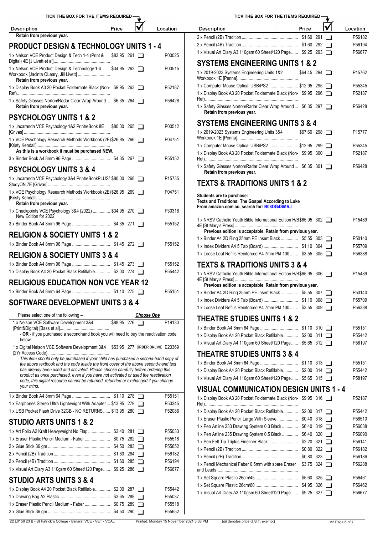| TICK THE BOX FOR THE ITEMS REQUIRED -                                                                                                                                        |                   |                                          | TICK THE BOX FOR THE ITEMS REQUIRED -                                                                                |             |                |
|------------------------------------------------------------------------------------------------------------------------------------------------------------------------------|-------------------|------------------------------------------|----------------------------------------------------------------------------------------------------------------------|-------------|----------------|
| Price<br><b>Description</b>                                                                                                                                                  | lV                | Location                                 | Price<br><b>Description</b>                                                                                          |             | Loca           |
| Retain from previous year.                                                                                                                                                   |                   |                                          |                                                                                                                      |             | P              |
| <b>PRODUCT DESIGN &amp; TECHNOLOGY UNITS 1 - 4</b>                                                                                                                           |                   |                                          |                                                                                                                      |             | P              |
| 1 x Nelson VCE Product Design & Tech 1-4 (Print & \$83.95 261                                                                                                                |                   | P00025                                   | 1 x Visual Art Diary A3 110gsm 60 Sheet/120 Page \$9.25 293<br><b>SYSTEMS ENGINEERING UNITS 1 &amp; 2</b>            |             | P              |
| 1 x Nelson VCE Product Design & Technology 1-4<br>$$34.95$ 262 $\Box$                                                                                                        |                   | P00515                                   | 1 x 2019-2023 Systems Engineering Units 1&2                                                                          | \$64.45 294 |                |
| Retain from previous year.<br>1 x Display Book A3 20 Pocket Foldermate Black (Non-\$9.95 263                                                                                 |                   | P52187                                   | 1 x Computer Mouse Optical USB/PS2 \$12.95 295                                                                       |             |                |
| 1 x Safety Glasses Norton/Radar Clear Wrap Around  \$6.35 264                                                                                                                |                   | P56428                                   | 1 x Display Book A3 20 Pocket Foldermate Black (Non-\$9.95 296                                                       |             |                |
| Retain from previous year.                                                                                                                                                   |                   |                                          | 1 x Safety Glasses Norton/Radar Clear Wrap Around  \$6.35 297<br>Retain from previous year.                          |             |                |
| <b>PSYCHOLOGY UNITS 1 &amp; 2</b>                                                                                                                                            |                   |                                          | <b>SYSTEMS ENGINEERING UNITS 3 &amp; 4</b>                                                                           |             |                |
| 1 x Jacaranda VCE Psychology 1&2 Print/eBook 8E \$80.00 265                                                                                                                  |                   | P00512                                   | 1 x 2019-2023 Systems Engineering Units 3&4                                                                          | \$67.60 298 |                |
| 1 x VCE Psychology Research Methods Workbook (2E) \$26.95 266<br>As this is a workbook it must be purchased NEW.                                                             |                   | P04751                                   | 1 x Computer Mouse Optical USB/PS2 \$12.95 299                                                                       |             |                |
|                                                                                                                                                                              |                   | P55152                                   | 1 x Display Book A3 20 Pocket Foldermate Black (Non-\$9.95 300                                                       |             |                |
| <b>PSYCHOLOGY UNITS 3 &amp; 4</b>                                                                                                                                            |                   |                                          | 1 x Safety Glasses Norton/Radar Clear Wrap Around  \$6.35 301<br>Retain from previous year.                          |             |                |
| 1 x Jacaranda VCE Psychology 3&4 Print/eBookPLUS/ \$80.00 268                                                                                                                |                   | P15735                                   | <b>TEXTS &amp; TRADITIONS UNITS 1 &amp; 2</b>                                                                        |             |                |
| 1 x VCE Psychology Research Methods Workbook (2E) \$26.95 269<br>Retain from previous year.                                                                                  |                   | P04751                                   | Students are to purchase:<br>Texts and Traditions: The Gospel According to Luke                                      |             |                |
| 1 x Checkpoints VCE Psychology 3&4 (2022)  \$34.95 270<br>New Edition for 2022                                                                                               |                   | P30316                                   | From amazon.com.au, search for: B08DG4SMRJ                                                                           |             |                |
|                                                                                                                                                                              |                   | P55152                                   | 1 x NRSV Catholic Youth Bible International Edition H/B\$65.95 302                                                   |             |                |
| <b>RELIGION &amp; SOCIETY UNITS 1 &amp; 2</b>                                                                                                                                |                   |                                          | Previous edition is acceptable. Retain from previous year.<br>1 x Binder A4 2D Ring 25mm PE Insert Black  \$5.55 303 |             |                |
|                                                                                                                                                                              |                   | P55152                                   |                                                                                                                      |             |                |
| <b>RELIGION &amp; SOCIETY UNITS 3 &amp; 4</b>                                                                                                                                |                   |                                          | 1 x Loose Leaf Refills Reinforced A4 7mm Pkt 100  \$3.55 305                                                         |             |                |
|                                                                                                                                                                              |                   | P55152                                   | <b>TEXTS &amp; TRADITIONS UNITS 3 &amp; 4</b>                                                                        |             |                |
| 1 x Display Book A4 20 Pocket Black Refillable \$2.00 274                                                                                                                    |                   | P55442                                   | 1 x NRSV Catholic Youth Bible International Edition H/B\$65.95 306                                                   |             |                |
| <b>RELIGIOUS EDUCATION NON VCE YEAR 12</b>                                                                                                                                   |                   |                                          | Previous edition is acceptable. Retain from previous year.                                                           |             |                |
|                                                                                                                                                                              |                   | P55151                                   | 1 x Binder A4 2D Ring 25mm PE Insert Black  \$5.55 307                                                               |             | Ρ              |
| <b>SOFTWARE DEVELOPMENT UNITS 3 &amp; 4</b>                                                                                                                                  |                   |                                          | 1 x Loose Leaf Refills Reinforced A4 7mm Pkt 100  \$3.55 309                                                         |             |                |
| Please select one of the following -                                                                                                                                         | <b>Choose One</b> |                                          | <b>THEATRE STUDIES UNITS 1 &amp; 2</b>                                                                               |             |                |
| 1 x Nelson VCE Software Development 3&4<br>\$88.95 276 □                                                                                                                     |                   | P19130                                   |                                                                                                                      |             |                |
| - OR - if you purchased a secondhand book you will need to buy the reactivation code                                                                                         |                   |                                          | 1 x Display Book A4 20 Pocket Black Refillable \$2.00 311                                                            |             |                |
| below.                                                                                                                                                                       |                   |                                          | 1 x Visual Art Diary A4 110gsm 60 Sheet/120 Page \$5.65 312                                                          |             |                |
| 1 x Digital Nelson VCE Software Development 3&4 \$53.95 277 ORDER ONLINE E20369                                                                                              |                   |                                          | <b>THEATRE STUDIES UNITS 3 &amp; 4</b>                                                                               |             |                |
| This item should only be purchased if your child has purchased a second-hand copy of<br>the above textbook and the code inside the front cover of the above second-hand text |                   |                                          |                                                                                                                      |             |                |
| has already been used and activated. Please choose carefully before ordering this                                                                                            |                   |                                          | 1 x Display Book A4 20 Pocket Black Refillable \$2.00 314                                                            |             |                |
| product as once purchased, even if you have not activated or used the reactivation<br>code, this digital resource cannot be returned, refunded or exchanged if you change    |                   |                                          | 1 x Visual Art Diary A4 110gsm 60 Sheet/120 Page \$5.65 315                                                          |             | Ρ              |
| your mind.                                                                                                                                                                   |                   |                                          | <b>VISUAL COMMUNICATION DESIGN UNITS 1 - 4</b>                                                                       |             |                |
|                                                                                                                                                                              |                   | P55151                                   | 1 x Display Book A3 20 Pocket Foldermate Black (Non-\$9.95 316                                                       |             | P              |
| 1 x Earphones Stereo Ultra Lightweight With Adapter  \$13.95 279                                                                                                             |                   | P50345                                   |                                                                                                                      |             |                |
| 1 x USB Pocket Flash Drive 32GB - NO RETURNS  \$13.95 280                                                                                                                    |                   | P52086                                   | 1 x Display Book A4 20 Pocket Black Refillable \$2.00 317                                                            |             |                |
| <b>STUDIO ARTS UNITS 1 &amp; 2</b>                                                                                                                                           |                   |                                          | 1 x Eraser Plastic Pencil Large With Sleeve  \$0.40 318                                                              |             |                |
| 1 x Art Folio A2 Kraft Heavyweight No Flap  \$3.40 281                                                                                                                       |                   | P55033                                   | 1 x Pen Artline 233 Drawing System 0.3 Black  \$6.40 319                                                             |             |                |
| 1 x Eraser Plastic Pencil Medium - Faber  \$0.75 282                                                                                                                         |                   | P55518                                   | 1 x Pen Artline 235 Drawing System 0.5 Black  \$6.40 320                                                             |             |                |
|                                                                                                                                                                              |                   | P55652                                   |                                                                                                                      |             |                |
|                                                                                                                                                                              |                   | P56182                                   |                                                                                                                      |             |                |
|                                                                                                                                                                              |                   | P56194                                   | 1 x Pencil Mechanical Faber 0.5mm with spare Eraser \$3.75 324                                                       |             |                |
| 1 x Visual Art Diary A3 110gsm 60 Sheet/120 Page  \$9.25 286                                                                                                                 |                   | P56677                                   |                                                                                                                      |             |                |
| <b>STUDIO ARTS UNITS 3 &amp; 4</b>                                                                                                                                           |                   |                                          |                                                                                                                      |             |                |
| 1 x Display Book A4 20 Pocket Black Refillable \$2.00 287                                                                                                                    |                   | P55442                                   |                                                                                                                      |             |                |
|                                                                                                                                                                              |                   | P55037                                   | 1 x Visual Art Diary A3 110gsm 60 Sheet/120 Page \$9.25 327                                                          |             | Ρ              |
| 1 x Eraser Plastic Pencil Medium - Faber  \$0.75 289                                                                                                                         |                   | P55518                                   |                                                                                                                      |             |                |
|                                                                                                                                                                              |                   | P55652                                   |                                                                                                                      |             |                |
| 22 L0150 23 B - St Patrick's College - Ballarat VCE - VET - VCAL                                                                                                             |                   | Printed: Monday 15 November 2021 3:38 PM | (@ denotes price G.S.T. exempt)                                                                                      |             | V2 Page 6 of 7 |

| TICK THE BOX FOR THE ITEMS REQUIRED -                                                            |                     |  |                    |
|--------------------------------------------------------------------------------------------------|---------------------|--|--------------------|
| <b>Description</b>                                                                               | Price               |  | Location           |
|                                                                                                  |                     |  | P56182             |
| 1 x Visual Art Diary A3 110gsm 60 Sheet/120 Page \$9.25 293                                      |                     |  | P56194<br>P56677   |
|                                                                                                  |                     |  |                    |
| <b>SYSTEMS ENGINEERING UNITS 1 &amp; 2</b>                                                       |                     |  |                    |
| 1 x 2019-2023 Systems Engineering Units 1&2                                                      | $$64.45$ 294 $\Box$ |  | P15762             |
| 1 x Computer Mouse Optical USB/PS2 \$12.95 295                                                   |                     |  | P55345             |
| 1 x Display Book A3 20 Pocket Foldermate Black (Non-\$9.95 296                                   |                     |  | P52187             |
| 1 x Safety Glasses Norton/Radar Clear Wrap Around  \$6.35 297<br>Retain from previous year.      |                     |  | P56428             |
| <b>SYSTEMS ENGINEERING UNITS 3 &amp; 4</b>                                                       |                     |  |                    |
| 1 x 2019-2023 Systems Engineering Units 3&4 \$67.60 298                                          |                     |  | P <sub>15777</sub> |
|                                                                                                  |                     |  |                    |
| 1 x Computer Mouse Optical USB/PS2 \$12.95 299                                                   |                     |  | P55345             |
| 1 x Display Book A3 20 Pocket Foldermate Black (Non-\$9.95 300                                   |                     |  | P52187             |
| 1 x Safety Glasses Norton/Radar Clear Wrap Around  \$6.35 301<br>Retain from previous year.      |                     |  | P56428             |
| <b>TEXTS &amp; TRADITIONS UNITS 1 &amp; 2</b>                                                    |                     |  |                    |
| Students are to purchase:                                                                        |                     |  |                    |
| Texts and Traditions: The Gospel According to Luke<br>From amazon.com.au, search for: B08DG4SMRJ |                     |  |                    |
| 1 x NRSV Catholic Youth Bible International Edition H/B\$65.95 302                               |                     |  | P15489             |
| Previous edition is acceptable. Retain from previous year.                                       |                     |  |                    |
| 1 x Binder A4 2D Ring 25mm PE Insert Black  \$5.55 303                                           |                     |  | P50140             |
|                                                                                                  |                     |  | P55709             |
| 1 x Loose Leaf Refills Reinforced A4 7mm Pkt 100  \$3.55 305                                     |                     |  | P56388             |
| TEXTS & TRADITIONS UNITS 3 & 4                                                                   |                     |  |                    |
| 1 x NRSV Catholic Youth Bible International Edition H/B\$65.95 306                               |                     |  | P15489             |
| Previous edition is acceptable. Retain from previous year.                                       |                     |  |                    |
| 1 x Binder A4 2D Ring 25mm PE Insert Black  \$5.55 307                                           |                     |  | P50140             |
|                                                                                                  |                     |  | P55709             |
| 1 x Loose Leaf Refills Reinforced A4 7mm Pkt 100  \$3.55 309                                     |                     |  | P56388             |
| <b>THEATRE STUDIES UNITS 1 &amp; 2</b>                                                           |                     |  |                    |
|                                                                                                  |                     |  | P55151             |
| 1 x Display Book A4 20 Pocket Black Refillable \$2.00 311                                        |                     |  | P55442             |
| 1 x Visual Art Diary A4 110gsm 60 Sheet/120 Page \$5.65 312                                      |                     |  | P58197             |
| <b>THEATRE STUDIES UNITS 3 &amp; 4</b>                                                           |                     |  |                    |
|                                                                                                  |                     |  | P55151             |
| 1 x Display Book A4 20 Pocket Black Refillable \$2.00 314                                        |                     |  | P55442             |
| 1 x Visual Art Diary A4 110gsm 60 Sheet/120 Page \$5.65 315                                      |                     |  | P58197             |
|                                                                                                  |                     |  |                    |
| VISUAL COMMUNICATION DESIGN UNITS 1 - 4                                                          |                     |  |                    |
| 1 x Display Book A3 20 Pocket Foldermate Black (Non-\$9.95 316                                   |                     |  | P52187             |
| 1 x Display Book A4 20 Pocket Black Refillable \$2.00 317                                        |                     |  | P55442             |
| 1 x Eraser Plastic Pencil Large With Sleeve  \$0.40 318                                          |                     |  | P58510             |
| 1 x Pen Artline 233 Drawing System 0.3 Black  \$6.40 319                                         |                     |  | P56088             |
| 1 x Pen Artline 235 Drawing System 0.5 Black  \$6.40 320                                         |                     |  | P56090             |
| 1 x Pen Felt Tip Triplus Fineliner Black\$2.20 321                                               |                     |  | P56141             |
|                                                                                                  |                     |  | P56182             |
|                                                                                                  |                     |  | P56186             |
| 1 x Pencil Mechanical Faber 0.5mm with spare Eraser \$3.75 324                                   |                     |  | P56288             |
|                                                                                                  |                     |  | P56461             |
|                                                                                                  |                     |  | P56462             |
| 1 x Visual Art Diary A3 110gsm 60 Sheet/120 Page  \$9.25 327                                     |                     |  | P56677             |
|                                                                                                  |                     |  |                    |